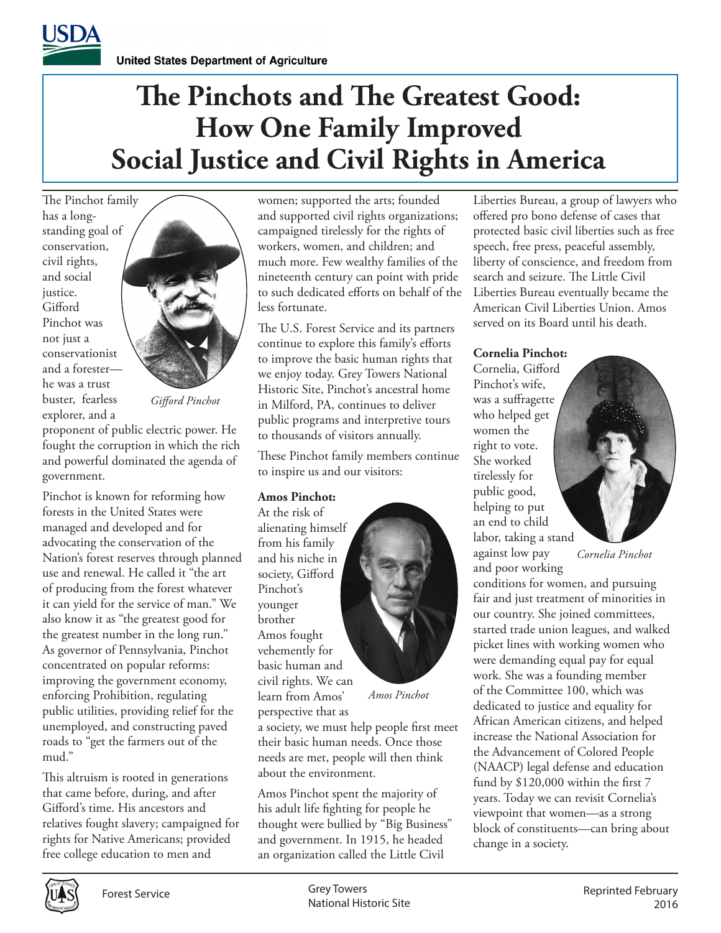# **The Pinchots and The Greatest Good: How One Family Improved Social Justice and Civil Rights in America**

The Pinchot family has a longstanding goal of conservation, civil rights, and social justice. Gifford Pinchot was not just a conservationist and a forester he was a trust buster, fearless explorer, and a



*Gifford Pinchot*

proponent of public electric power. He fought the corruption in which the rich and powerful dominated the agenda of government.

Pinchot is known for reforming how forests in the United States were managed and developed and for advocating the conservation of the Nation's forest reserves through planned use and renewal. He called it "the art of producing from the forest whatever it can yield for the service of man." We also know it as "the greatest good for the greatest number in the long run." As governor of Pennsylvania, Pinchot concentrated on popular reforms: improving the government economy, enforcing Prohibition, regulating public utilities, providing relief for the unemployed, and constructing paved roads to "get the farmers out of the mud."

This altruism is rooted in generations that came before, during, and after Gifford's time. His ancestors and relatives fought slavery; campaigned for rights for Native Americans; provided free college education to men and

women; supported the arts; founded and supported civil rights organizations; campaigned tirelessly for the rights of workers, women, and children; and much more. Few wealthy families of the nineteenth century can point with pride to such dedicated efforts on behalf of the less fortunate.

The U.S. Forest Service and its partners continue to explore this family's efforts to improve the basic human rights that we enjoy today. Grey Towers National Historic Site, Pinchot's ancestral home in Milford, PA, continues to deliver public programs and interpretive tours to thousands of visitors annually.

These Pinchot family members continue to inspire us and our visitors:

### **Amos Pinchot:**

At the risk of alienating himself from his family and his niche in society, Gifford Pinchot's younger brother Amos fought vehemently for basic human and civil rights. We can learn from Amos' perspective that as



*Amos Pinchot*

a society, we must help people first meet their basic human needs. Once those needs are met, people will then think about the environment.

Amos Pinchot spent the majority of his adult life fighting for people he thought were bullied by "Big Business" and government. In 1915, he headed an organization called the Little Civil

Liberties Bureau, a group of lawyers who offered pro bono defense of cases that protected basic civil liberties such as free speech, free press, peaceful assembly, liberty of conscience, and freedom from search and seizure. The Little Civil Liberties Bureau eventually became the American Civil Liberties Union. Amos served on its Board until his death.

#### **Cornelia Pinchot:**

Cornelia, Gifford Pinchot's wife, was a suffragette who helped get women the right to vote. She worked tirelessly for public good, helping to put an end to child labor, taking a stand against low pay and poor working

*Cornelia Pinchot*

conditions for women, and pursuing fair and just treatment of minorities in our country. She joined committees, started trade union leagues, and walked picket lines with working women who were demanding equal pay for equal work. She was a founding member of the Committee 100, which was dedicated to justice and equality for African American citizens, and helped increase the National Association for the Advancement of Colored People (NAACP) legal defense and education fund by \$120,000 within the first 7 years. Today we can revisit Cornelia's viewpoint that women—as a strong block of constituents—can bring about change in a society.